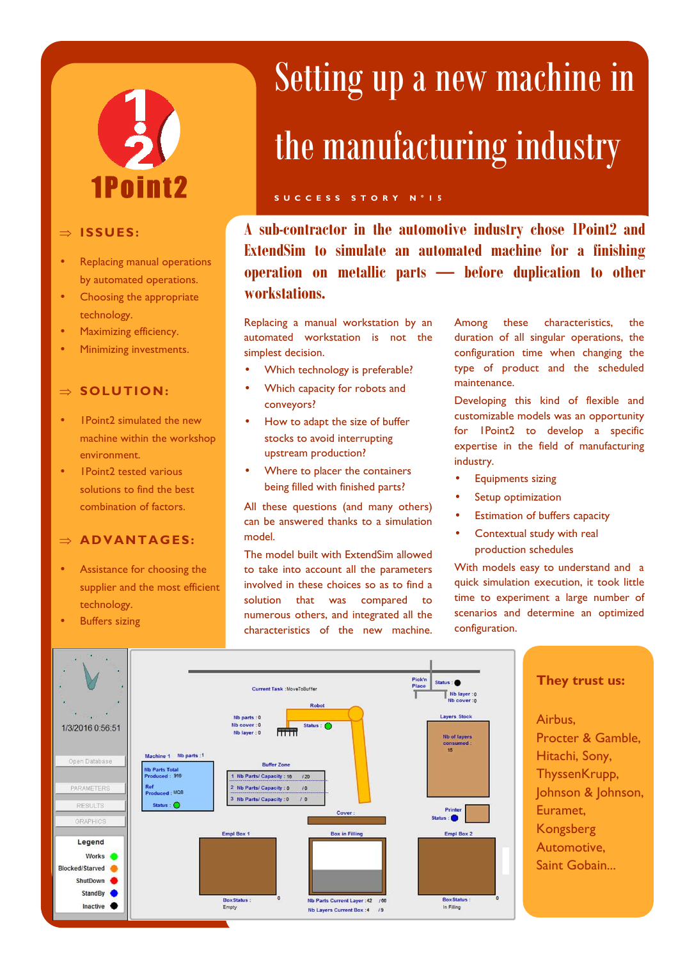# 1Point2

#### ⇒ **ISSUES :**

- Replacing manual operations by automated operations.
- Choosing the appropriate technology.
- Maximizing efficiency.
- Minimizing investments.

#### ⇒ **SOLUTION:**

- **1Point2 simulated the new** machine within the workshop environment.
- 1Point2 tested various solutions to find the best combination of factors.

#### $\Rightarrow$  **ADVANTAGES:**

- Assistance for choosing the supplier and the most efficient technology.
- **Buffers sizing**

## Setting up a new machine in the manufacturing industry

#### **S U C C E S S S T O R Y N ° 1 5**

**A sub-contractor in the automotive industry chose 1Point2 and ExtendSim to simulate an automated machine for a finishing operation on metallic parts — before duplication to other workstations.** 

Replacing a manual workstation by an automated workstation is not the simplest decision.

- Which technology is preferable?
- Which capacity for robots and conveyors?
- How to adapt the size of buffer stocks to avoid interrupting upstream production?
- Where to placer the containers being filled with finished parts?

All these questions (and many others) can be answered thanks to a simulation model.

The model built with ExtendSim allowed to take into account all the parameters involved in these choices so as to find a solution that was compared to numerous others, and integrated all the characteristics of the new machine.

Among these characteristics, the duration of all singular operations, the configuration time when changing the type of product and the scheduled maintenance.

Developing this kind of flexible and customizable models was an opportunity for 1Point2 to develop a specific expertise in the field of manufacturing industry.

- Equipments sizing
- Setup optimization
- Estimation of buffers capacity
- Contextual study with real production schedules

With models easy to understand and a quick simulation execution, it took little time to experiment a large number of scenarios and determine an optimized configuration.